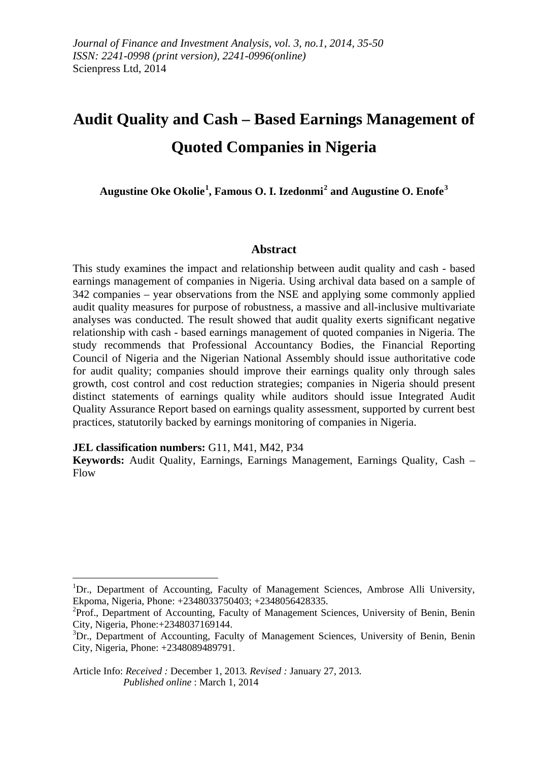# **Audit Quality and Cash – Based Earnings Management of Quoted Companies in Nigeria**

**Augustine Oke Okolie[1](#page-0-0) , Famous O. I. Izedonmi[2](#page-0-1) and Augustine O. Enofe[3](#page-0-2)**

## **Abstract**

This study examines the impact and relationship between audit quality and cash - based earnings management of companies in Nigeria. Using archival data based on a sample of 342 companies – year observations from the NSE and applying some commonly applied audit quality measures for purpose of robustness, a massive and all-inclusive multivariate analyses was conducted. The result showed that audit quality exerts significant negative relationship with cash - based earnings management of quoted companies in Nigeria. The study recommends that Professional Accountancy Bodies, the Financial Reporting Council of Nigeria and the Nigerian National Assembly should issue authoritative code for audit quality; companies should improve their earnings quality only through sales growth, cost control and cost reduction strategies; companies in Nigeria should present distinct statements of earnings quality while auditors should issue Integrated Audit Quality Assurance Report based on earnings quality assessment, supported by current best practices, statutorily backed by earnings monitoring of companies in Nigeria.

**JEL classification numbers:** G11, M41, M42, P34

<u>.</u>

**Keywords:** Audit Quality, Earnings, Earnings Management, Earnings Quality, Cash – Flow

<span id="page-0-0"></span><sup>&</sup>lt;sup>1</sup>Dr., Department of Accounting, Faculty of Management Sciences, Ambrose Alli University, Ekpoma, Nigeria, Phone: +2348033750403; +2348056428335. <sup>2</sup>

<span id="page-0-1"></span><sup>&</sup>lt;sup>2</sup>Prof., Department of Accounting, Faculty of Management Sciences, University of Benin, Benin City, Nigeria, Phone:+2348037169144.

<span id="page-0-2"></span><sup>&</sup>lt;sup>3</sup>Dr., Department of Accounting, Faculty of Management Sciences, University of Benin, Benin City, Nigeria, Phone: +2348089489791.

Article Info: *Received :* December 1, 2013*. Revised :* January 27, 2013.  *Published online* : March 1, 2014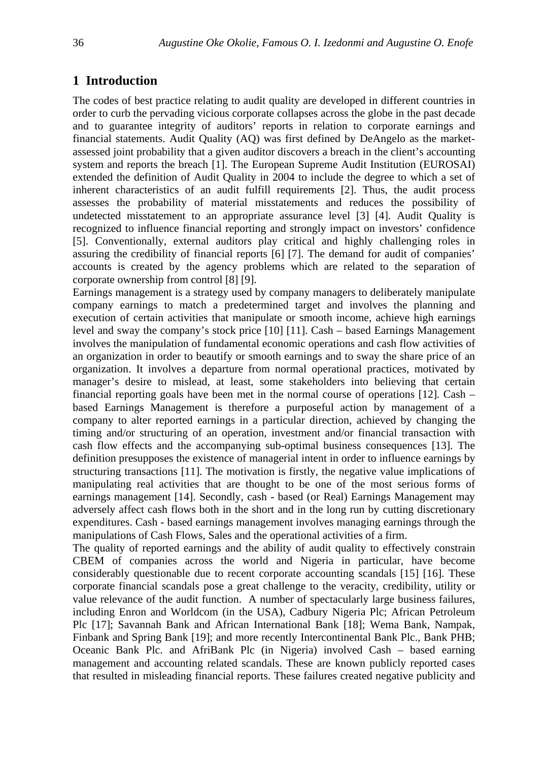## **1 Introduction**

The codes of best practice relating to audit quality are developed in different countries in order to curb the pervading vicious corporate collapses across the globe in the past decade and to guarantee integrity of auditors' reports in relation to corporate earnings and financial statements. Audit Quality (AQ) was first defined by DeAngelo as the marketassessed joint probability that a given auditor discovers a breach in the client's accounting system and reports the breach [1]. The European Supreme Audit Institution (EUROSAI) extended the definition of Audit Quality in 2004 to include the degree to which a set of inherent characteristics of an audit fulfill requirements [2]. Thus, the audit process assesses the probability of material misstatements and reduces the possibility of undetected misstatement to an appropriate assurance level [3] [4]. Audit Quality is recognized to influence financial reporting and strongly impact on investors' confidence [5]. Conventionally, external auditors play critical and highly challenging roles in assuring the credibility of financial reports [6] [7]. The demand for audit of companies' accounts is created by the agency problems which are related to the separation of corporate ownership from control [8] [9].

Earnings management is a strategy used by company managers to deliberately manipulate company earnings to match a predetermined target and involves the planning and execution of certain activities that manipulate or smooth income, achieve high earnings level and sway the company's stock price [10] [11]. Cash – based Earnings Management involves the manipulation of fundamental economic operations and cash flow activities of an organization in order to beautify or smooth earnings and to sway the share price of an organization. It involves a departure from normal operational practices, motivated by manager's desire to mislead, at least, some stakeholders into believing that certain financial reporting goals have been met in the normal course of operations  $[12]$ . Cash – based Earnings Management is therefore a purposeful action by management of a company to alter reported earnings in a particular direction, achieved by changing the timing and/or structuring of an operation, investment and/or financial transaction with cash flow effects and the accompanying sub-optimal business consequences [13]. The definition presupposes the existence of managerial intent in order to influence earnings by structuring transactions [11]. The motivation is firstly, the negative value implications of manipulating real activities that are thought to be one of the most serious forms of earnings management [14]. Secondly, cash - based (or Real) Earnings Management may adversely affect cash flows both in the short and in the long run by cutting discretionary expenditures. Cash - based earnings management involves managing earnings through the manipulations of Cash Flows, Sales and the operational activities of a firm.

The quality of reported earnings and the ability of audit quality to effectively constrain CBEM of companies across the world and Nigeria in particular, have become considerably questionable due to recent corporate accounting scandals [15] [16]. These corporate financial scandals pose a great challenge to the veracity, credibility, utility or value relevance of the audit function. A number of spectacularly large business failures, including Enron and Worldcom (in the USA), Cadbury Nigeria Plc; African Petroleum Plc [17]; Savannah Bank and African International Bank [18]; Wema Bank, Nampak, Finbank and Spring Bank [19]; and more recently Intercontinental Bank Plc., Bank PHB; Oceanic Bank Plc. and AfriBank Plc (in Nigeria) involved Cash – based earning management and accounting related scandals. These are known publicly reported cases that resulted in misleading financial reports. These failures created negative publicity and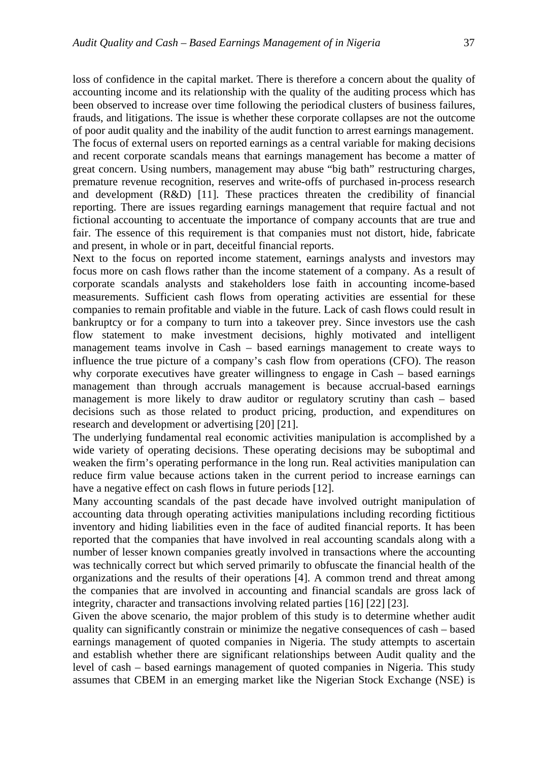loss of confidence in the capital market. There is therefore a concern about the quality of accounting income and its relationship with the quality of the auditing process which has been observed to increase over time following the periodical clusters of business failures, frauds, and litigations. The issue is whether these corporate collapses are not the outcome of poor audit quality and the inability of the audit function to arrest earnings management. The focus of external users on reported earnings as a central variable for making decisions and recent corporate scandals means that earnings management has become a matter of great concern. Using numbers, management may abuse "big bath" restructuring charges, premature revenue recognition, reserves and write-offs of purchased in-process research and development (R&D) [11]. These practices threaten the credibility of financial reporting. There are issues regarding earnings management that require factual and not fictional accounting to accentuate the importance of company accounts that are true and fair. The essence of this requirement is that companies must not distort, hide, fabricate and present, in whole or in part, deceitful financial reports.

Next to the focus on reported income statement, earnings analysts and investors may focus more on cash flows rather than the income statement of a company. As a result of corporate scandals analysts and stakeholders lose faith in accounting income-based measurements. Sufficient cash flows from operating activities are essential for these companies to remain profitable and viable in the future. Lack of cash flows could result in bankruptcy or for a company to turn into a takeover prey. Since investors use the cash flow statement to make investment decisions, highly motivated and intelligent management teams involve in Cash – based earnings management to create ways to influence the true picture of a company's cash flow from operations (CFO). The reason why corporate executives have greater willingness to engage in Cash – based earnings management than through accruals management is because accrual-based earnings management is more likely to draw auditor or regulatory scrutiny than cash – based decisions such as those related to product pricing, production, and expenditures on research and development or advertising [20] [21].

The underlying fundamental real economic activities manipulation is accomplished by a wide variety of operating decisions. These operating decisions may be suboptimal and weaken the firm's operating performance in the long run. Real activities manipulation can reduce firm value because actions taken in the current period to increase earnings can have a negative effect on cash flows in future periods [12].

Many accounting scandals of the past decade have involved outright manipulation of accounting data through operating activities manipulations including recording fictitious inventory and hiding liabilities even in the face of audited financial reports. It has been reported that the companies that have involved in real accounting scandals along with a number of lesser known companies greatly involved in transactions where the accounting was technically correct but which served primarily to obfuscate the financial health of the organizations and the results of their operations [4]. A common trend and threat among the companies that are involved in accounting and financial scandals are gross lack of integrity, character and transactions involving related parties [16] [22] [23].

Given the above scenario, the major problem of this study is to determine whether audit quality can significantly constrain or minimize the negative consequences of cash – based earnings management of quoted companies in Nigeria. The study attempts to ascertain and establish whether there are significant relationships between Audit quality and the level of cash – based earnings management of quoted companies in Nigeria. This study assumes that CBEM in an emerging market like the Nigerian Stock Exchange (NSE) is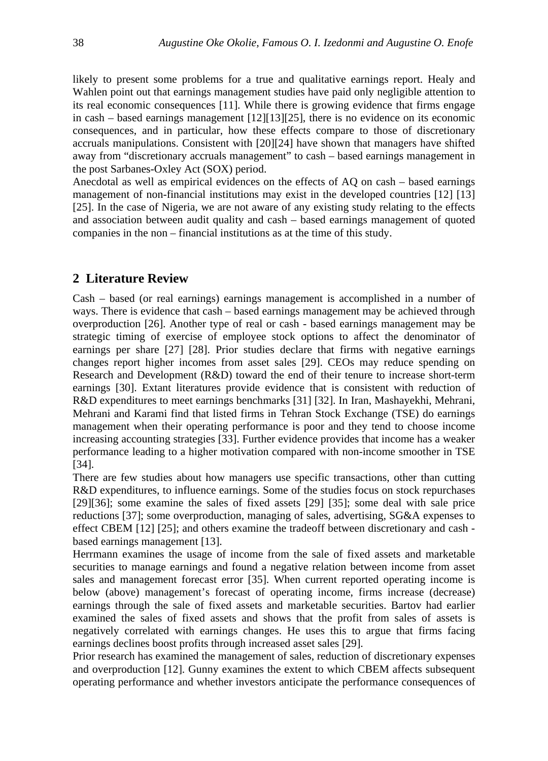likely to present some problems for a true and qualitative earnings report. Healy and Wahlen point out that earnings management studies have paid only negligible attention to its real economic consequences [11]. While there is growing evidence that firms engage in cash – based earnings management  $[12][13][25]$ , there is no evidence on its economic consequences, and in particular, how these effects compare to those of discretionary accruals manipulations. Consistent with [20][24] have shown that managers have shifted away from "discretionary accruals management" to cash – based earnings management in the post Sarbanes-Oxley Act (SOX) period.

Anecdotal as well as empirical evidences on the effects of AQ on cash – based earnings management of non-financial institutions may exist in the developed countries [12] [13] [25]. In the case of Nigeria, we are not aware of any existing study relating to the effects and association between audit quality and cash – based earnings management of quoted companies in the non – financial institutions as at the time of this study.

## **2 Literature Review**

Cash – based (or real earnings) earnings management is accomplished in a number of ways. There is evidence that cash – based earnings management may be achieved through overproduction [26]. Another type of real or cash - based earnings management may be strategic timing of exercise of employee stock options to affect the denominator of earnings per share [27] [28]. Prior studies declare that firms with negative earnings changes report higher incomes from asset sales [29]. CEOs may reduce spending on Research and Development (R&D) toward the end of their tenure to increase short-term earnings [30]. Extant literatures provide evidence that is consistent with reduction of R&D expenditures to meet earnings benchmarks [31] [32]. In Iran, Mashayekhi, Mehrani, Mehrani and Karami find that listed firms in Tehran Stock Exchange (TSE) do earnings management when their operating performance is poor and they tend to choose income increasing accounting strategies [33]. Further evidence provides that income has a weaker performance leading to a higher motivation compared with non-income smoother in TSE [34].

There are few studies about how managers use specific transactions, other than cutting R&D expenditures, to influence earnings. Some of the studies focus on stock repurchases [29][36]; some examine the sales of fixed assets [29] [35]; some deal with sale price reductions [37]; some overproduction, managing of sales, advertising, SG&A expenses to effect CBEM [12] [25]; and others examine the tradeoff between discretionary and cash based earnings management [13].

Herrmann examines the usage of income from the sale of fixed assets and marketable securities to manage earnings and found a negative relation between income from asset sales and management forecast error [35]. When current reported operating income is below (above) management's forecast of operating income, firms increase (decrease) earnings through the sale of fixed assets and marketable securities. Bartov had earlier examined the sales of fixed assets and shows that the profit from sales of assets is negatively correlated with earnings changes. He uses this to argue that firms facing earnings declines boost profits through increased asset sales [29].

Prior research has examined the management of sales, reduction of discretionary expenses and overproduction [12]. Gunny examines the extent to which CBEM affects subsequent operating performance and whether investors anticipate the performance consequences of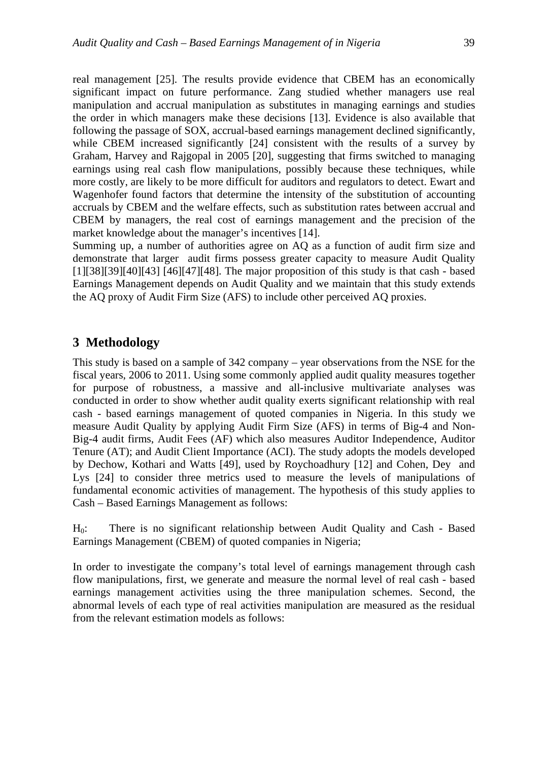real management [25]. The results provide evidence that CBEM has an economically significant impact on future performance. Zang studied whether managers use real manipulation and accrual manipulation as substitutes in managing earnings and studies the order in which managers make these decisions [13]. Evidence is also available that following the passage of SOX, accrual-based earnings management declined significantly, while CBEM increased significantly [24] consistent with the results of a survey by Graham, Harvey and Rajgopal in 2005 [20], suggesting that firms switched to managing earnings using real cash flow manipulations, possibly because these techniques, while more costly, are likely to be more difficult for auditors and regulators to detect. Ewart and Wagenhofer found factors that determine the intensity of the substitution of accounting accruals by CBEM and the welfare effects, such as substitution rates between accrual and CBEM by managers, the real cost of earnings management and the precision of the market knowledge about the manager's incentives [14].

Summing up, a number of authorities agree on AQ as a function of audit firm size and demonstrate that larger audit firms possess greater capacity to measure Audit Quality  $[1][38][39][40][43]$  [46][47][48]. The major proposition of this study is that cash - based Earnings Management depends on Audit Quality and we maintain that this study extends the AQ proxy of Audit Firm Size (AFS) to include other perceived AQ proxies.

## **3 Methodology**

This study is based on a sample of 342 company – year observations from the NSE for the fiscal years, 2006 to 2011. Using some commonly applied audit quality measures together for purpose of robustness, a massive and all-inclusive multivariate analyses was conducted in order to show whether audit quality exerts significant relationship with real cash - based earnings management of quoted companies in Nigeria. In this study we measure Audit Quality by applying Audit Firm Size (AFS) in terms of Big-4 and Non-Big-4 audit firms, Audit Fees (AF) which also measures Auditor Independence, Auditor Tenure (AT); and Audit Client Importance (ACI). The study adopts the models developed by Dechow, Kothari and Watts [49], used by Roychoadhury [12] and Cohen, Dey and Lys [24] to consider three metrics used to measure the levels of manipulations of fundamental economic activities of management. The hypothesis of this study applies to Cash – Based Earnings Management as follows:

H0: There is no significant relationship between Audit Quality and Cash - Based Earnings Management (CBEM) of quoted companies in Nigeria;

In order to investigate the company's total level of earnings management through cash flow manipulations, first, we generate and measure the normal level of real cash - based earnings management activities using the three manipulation schemes. Second, the abnormal levels of each type of real activities manipulation are measured as the residual from the relevant estimation models as follows: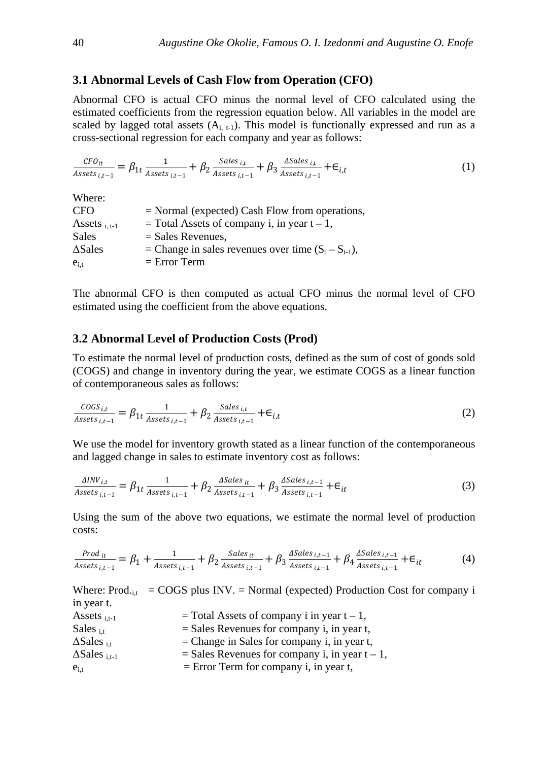#### **3.1 Abnormal Levels of Cash Flow from Operation (CFO)**

Abnormal CFO is actual CFO minus the normal level of CFO calculated using the estimated coefficients from the regression equation below. All variables in the model are scaled by lagged total assets  $(A_{i, t-1})$ . This model is functionally expressed and run as a cross-sectional regression for each company and year as follows:

$$
\frac{\text{CFO}_{it}}{\text{Assets}_{i,t-1}} = \beta_{1t} \frac{1}{\text{Assets}_{i,t-1}} + \beta_2 \frac{\text{Sales}_{i,t}}{\text{Assets}_{i,t-1}} + \beta_3 \frac{\text{Asales}_{i,t}}{\text{Assets}_{i,t-1}} + \epsilon_{i,t}
$$
(1)

| Where:             |                                                          |
|--------------------|----------------------------------------------------------|
| <b>CFO</b>         | $=$ Normal (expected) Cash Flow from operations,         |
| Assets $_{i. t-1}$ | $=$ Total Assets of company i, in year t – 1,            |
| Sales              | $=$ Sales Revenues,                                      |
| $\triangle$ Sales  | = Change in sales revenues over time $(S_t - S_{t-1})$ , |
| $e_{i,t}$          | $=$ Error Term                                           |

The abnormal CFO is then computed as actual CFO minus the normal level of CFO estimated using the coefficient from the above equations.

## **3.2 Abnormal Level of Production Costs (Prod)**

To estimate the normal level of production costs, defined as the sum of cost of goods sold (COGS) and change in inventory during the year, we estimate COGS as a linear function of contemporaneous sales as follows:

$$
\frac{\text{COGS}_{i,t}}{\text{Assets}_{i,t-1}} = \beta_{1t} \frac{1}{\text{Assets}_{i,t-1}} + \beta_2 \frac{\text{Sales}_{i,t}}{\text{Assets}_{i,t-1}} + \epsilon_{i,t} \tag{2}
$$

We use the model for inventory growth stated as a linear function of the contemporaneous and lagged change in sales to estimate inventory cost as follows:

$$
\frac{\Delta INV_{i,t}}{Assets_{i,t-1}} = \beta_{1t} \frac{1}{Assets_{i,t-1}} + \beta_2 \frac{\Delta Sales_{it}}{Assets_{i,t-1}} + \beta_3 \frac{\Delta Sales_{i,t-1}}{Assets_{i,t-1}} + \epsilon_{it}
$$
(3)

Using the sum of the above two equations, we estimate the normal level of production costs:

$$
\frac{Prod_{it}}{Assets_{i,t-1}} = \beta_1 + \frac{1}{Assets_{i,t-1}} + \beta_2 \frac{Sales_{it}}{Assets_{i,t-1}} + \beta_3 \frac{ASales_{i,t-1}}{Assets_{i,t-1}} + \beta_4 \frac{ASales_{i,t-1}}{Assets_{i,t-1}} + \epsilon_{it}
$$
(4)

Where:  $Prod_{\text{int}} = COGS$  plus INV. = Normal (expected) Production Cost for company i in year t.

| $=$ Total Assets of company i in year t – 1,<br>Assets $_{i.t-1}$                    |  |
|--------------------------------------------------------------------------------------|--|
| $=$ Sales Revenues for company i, in year t,<br>Sales $_{i.t.}$                      |  |
| $\Delta$ Sales <sub>i.t</sub><br>$=$ Change in Sales for company i, in year t,       |  |
| = Sales Revenues for company i, in year $t - 1$ ,<br>$\Delta$ Sales <sub>i.t-1</sub> |  |
| $=$ Error Term for company i, in year t,<br>$e_{i,t}$                                |  |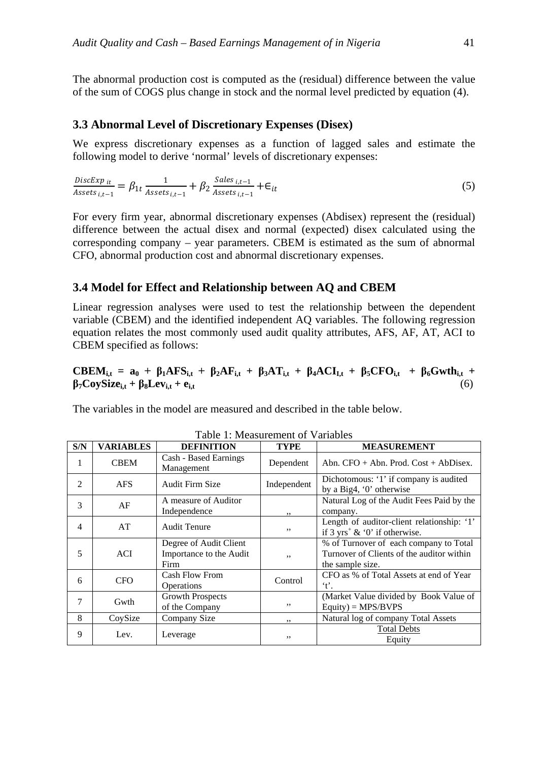The abnormal production cost is computed as the (residual) difference between the value of the sum of COGS plus change in stock and the normal level predicted by equation (4).

#### **3.3 Abnormal Level of Discretionary Expenses (Disex)**

We express discretionary expenses as a function of lagged sales and estimate the following model to derive 'normal' levels of discretionary expenses:

DiscExp<sub>it</sub>  $\frac{Disctexp_{it}}{Assets_{i,t-1}} = \beta_{1t} \frac{1}{Assets}$  $\frac{1}{Assets_{i,t-1}} + \beta_2 \frac{Sales_{i,t-1}}{Assets_{i,t-1}}$  $\frac{S_{it} - 1}{Assets}_{i,t-1} + \epsilon_{it}$  (5)

For every firm year, abnormal discretionary expenses (Abdisex) represent the (residual) difference between the actual disex and normal (expected) disex calculated using the corresponding company – year parameters. CBEM is estimated as the sum of abnormal CFO, abnormal production cost and abnormal discretionary expenses.

## **3.4 Model for Effect and Relationship between AQ and CBEM**

Linear regression analyses were used to test the relationship between the dependent variable (CBEM) and the identified independent AQ variables. The following regression equation relates the most commonly used audit quality attributes, AFS, AF, AT, ACI to CBEM specified as follows:

 $\text{CEEM}_{i,t} = a_0 + \beta_1 \text{AFS}_{i,t} + \beta_2 \text{AF}_{i,t} + \beta_3 \text{AT}_{i,t} + \beta_4 \text{ACI}_{i,t} + \beta_5 \text{CFO}_{i,t} + \beta_6 \text{Gwth}_{i,t} + \beta_7 \text{CFO}_{i,t} + \beta_8 \text{Gwth}_{i,t}$  $\beta_7 \text{CoySize}_{i,t} + \beta_8 \text{Lev}_{i,t} + \mathbf{e}_{i,t}$  (6)

The variables in the model are measured and described in the table below.

| S/N            | <b>VARIABLES</b> | <b>DEFINITION</b>                                         | <b>TYPE</b> | <b>MEASUREMENT</b>                                                                                      |
|----------------|------------------|-----------------------------------------------------------|-------------|---------------------------------------------------------------------------------------------------------|
| 1              | <b>CBEM</b>      | Cash - Based Earnings<br>Management                       | Dependent   | Abn. $CFO + Abn$ . Prod. $Cost + AbDisex$ .                                                             |
| $\mathfrak{D}$ | <b>AFS</b>       | Audit Firm Size                                           | Independent | Dichotomous: '1' if company is audited<br>by a Big4, '0' otherwise                                      |
| 3              | AF               | A measure of Auditor<br>Independence                      | ,,          | Natural Log of the Audit Fees Paid by the<br>company.                                                   |
| 4              | AT               | <b>Audit Tenure</b>                                       | ,,          | Length of auditor-client relationship: '1'<br>if $3 \text{ yrs}^+ \& 0$ if otherwise.                   |
| 5              | <b>ACI</b>       | Degree of Audit Client<br>Importance to the Audit<br>Firm | ,,          | % of Turnover of each company to Total<br>Turnover of Clients of the auditor within<br>the sample size. |
| 6              | <b>CFO</b>       | Cash Flow From<br>Operations                              | Control     | CFO as % of Total Assets at end of Year<br>'t'.                                                         |
| 7              | Gwth             | Growth Prospects<br>of the Company                        | ,,          | (Market Value divided by Book Value of<br>$Equity$ = MPS/BVPS                                           |
| 8              | CoySize          | Company Size                                              | ,,          | Natural log of company Total Assets                                                                     |
| 9              | Lev.             | Leverage                                                  | ,,          | <b>Total Debts</b><br>Equity                                                                            |

Table 1: Measurement of Variables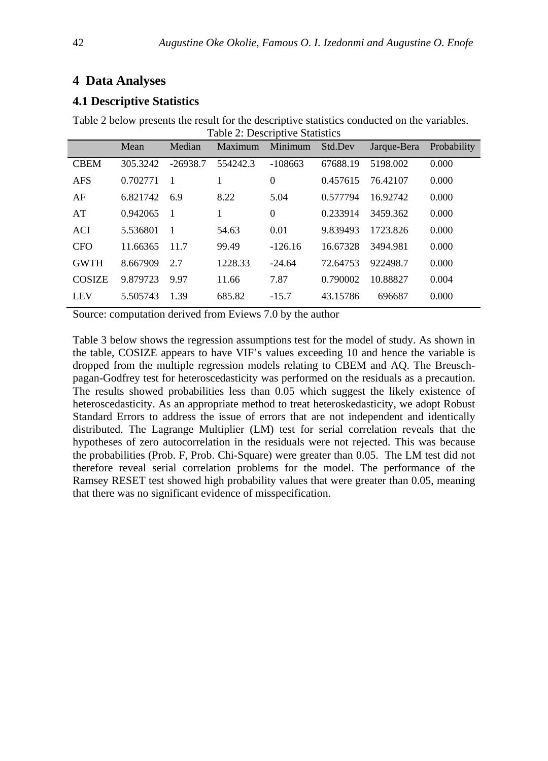# **4 Data Analyses**

## **4.1 Descriptive Statistics**

|               | Mean     | Median         | Maximum  | Minimum   | Std.Dev  | Jarque-Bera | Probability |
|---------------|----------|----------------|----------|-----------|----------|-------------|-------------|
| <b>CBEM</b>   | 305.3242 | $-26938.7$     | 554242.3 | $-108663$ | 67688.19 | 5198.002    | 0.000       |
| <b>AFS</b>    | 0.702771 | $\overline{1}$ |          | $\theta$  | 0.457615 | 76.42107    | 0.000       |
| AF            | 6.821742 | 6.9            | 8.22     | 5.04      | 0.577794 | 16.92742    | 0.000       |
| AT            | 0.942065 | $\overline{1}$ |          | $\theta$  | 0.233914 | 3459.362    | 0.000       |
| <b>ACI</b>    | 5.536801 | $\overline{1}$ | 54.63    | 0.01      | 9.839493 | 1723.826    | 0.000       |
| <b>CFO</b>    | 11.66365 | 11.7           | 99.49    | $-126.16$ | 16.67328 | 3494.981    | 0.000       |
| <b>GWTH</b>   | 8.667909 | 2.7            | 1228.33  | $-24.64$  | 72.64753 | 922498.7    | 0.000       |
| <b>COSIZE</b> | 9.879723 | 9.97           | 11.66    | 7.87      | 0.790002 | 10.88827    | 0.004       |
| <b>LEV</b>    | 5.505743 | 1.39           | 685.82   | $-15.7$   | 43.15786 | 696687      | 0.000       |

Table 2 below presents the result for the descriptive statistics conducted on the variables.<br>
Table 2: Descriptive Statistics Table 2: Descriptive Statistics

Source: computation derived from Eviews 7.0 by the author

Table 3 below shows the regression assumptions test for the model of study. As shown in the table, COSIZE appears to have VIF's values exceeding 10 and hence the variable is dropped from the multiple regression models relating to CBEM and AQ. The Breuschpagan-Godfrey test for heteroscedasticity was performed on the residuals as a precaution. The results showed probabilities less than 0.05 which suggest the likely existence of heteroscedasticity. As an appropriate method to treat heteroskedasticity, we adopt Robust Standard Errors to address the issue of errors that are not independent and identically distributed. The Lagrange Multiplier (LM) test for serial correlation reveals that the hypotheses of zero autocorrelation in the residuals were not rejected. This was because the probabilities (Prob. F, Prob. Chi-Square) were greater than 0.05. The LM test did not therefore reveal serial correlation problems for the model. The performance of the Ramsey RESET test showed high probability values that were greater than 0.05, meaning that there was no significant evidence of misspecification.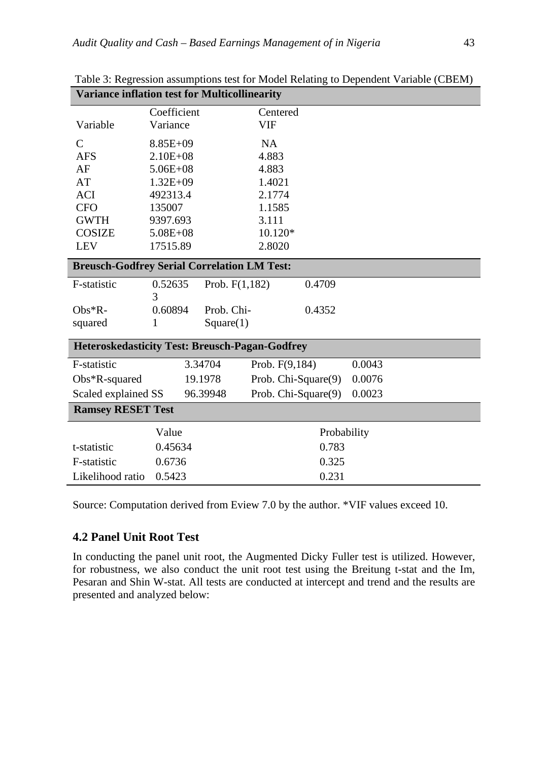| <b>Variance inflation test for Multicollinearity</b>  |                 |                  |                     |             |        |  |  |
|-------------------------------------------------------|-----------------|------------------|---------------------|-------------|--------|--|--|
|                                                       | Coefficient     |                  | Centered            |             |        |  |  |
| Variable                                              | Variance        |                  | VIF                 |             |        |  |  |
| $\mathcal{C}$                                         | 8.85E+09        |                  | <b>NA</b>           |             |        |  |  |
| <b>AFS</b>                                            | $2.10E + 08$    |                  | 4.883               |             |        |  |  |
| AF                                                    | $5.06E + 08$    |                  | 4.883               |             |        |  |  |
| AT                                                    | $1.32E + 09$    |                  | 1.4021              |             |        |  |  |
| <b>ACI</b>                                            | 492313.4        |                  | 2.1774              |             |        |  |  |
| <b>CFO</b>                                            | 135007          |                  | 1.1585              |             |        |  |  |
| <b>GWTH</b>                                           | 9397.693        |                  | 3.111               |             |        |  |  |
| <b>COSIZE</b>                                         | $5.08E + 08$    |                  | 10.120*             |             |        |  |  |
| <b>LEV</b>                                            | 17515.89        |                  | 2.8020              |             |        |  |  |
| <b>Breusch-Godfrey Serial Correlation LM Test:</b>    |                 |                  |                     |             |        |  |  |
| F-statistic                                           | 0.52635         | Prob. $F(1,182)$ |                     | 0.4709      |        |  |  |
|                                                       | 3               |                  |                     |             |        |  |  |
| $Obs*R$ -                                             | 0.60894         | Prob. Chi-       |                     | 0.4352      |        |  |  |
| squared                                               | 1               | Square(1)        |                     |             |        |  |  |
| <b>Heteroskedasticity Test: Breusch-Pagan-Godfrey</b> |                 |                  |                     |             |        |  |  |
| F-statistic                                           |                 | 3.34704          | Prob. F(9,184)      |             | 0.0043 |  |  |
| $Obs*R$ -squared                                      |                 | 19.1978          | Prob. Chi-Square(9) |             | 0.0076 |  |  |
| Scaled explained SS                                   |                 | 96.39948         | Prob. Chi-Square(9) |             | 0.0023 |  |  |
| <b>Ramsey RESET Test</b>                              |                 |                  |                     |             |        |  |  |
|                                                       | Value           |                  |                     | Probability |        |  |  |
| t-statistic                                           | 0.45634         |                  |                     | 0.783       |        |  |  |
| F-statistic                                           | 0.6736          |                  |                     | 0.325       |        |  |  |
| Likelihood ratio                                      | 0.231<br>0.5423 |                  |                     |             |        |  |  |

Table 3: Regression assumptions test for Model Relating to Dependent Variable (CBEM)

Source: Computation derived from Eview 7.0 by the author. \*VIF values exceed 10.

## **4.2 Panel Unit Root Test**

In conducting the panel unit root, the Augmented Dicky Fuller test is utilized. However, for robustness, we also conduct the unit root test using the Breitung t-stat and the Im, Pesaran and Shin W-stat. All tests are conducted at intercept and trend and the results are presented and analyzed below: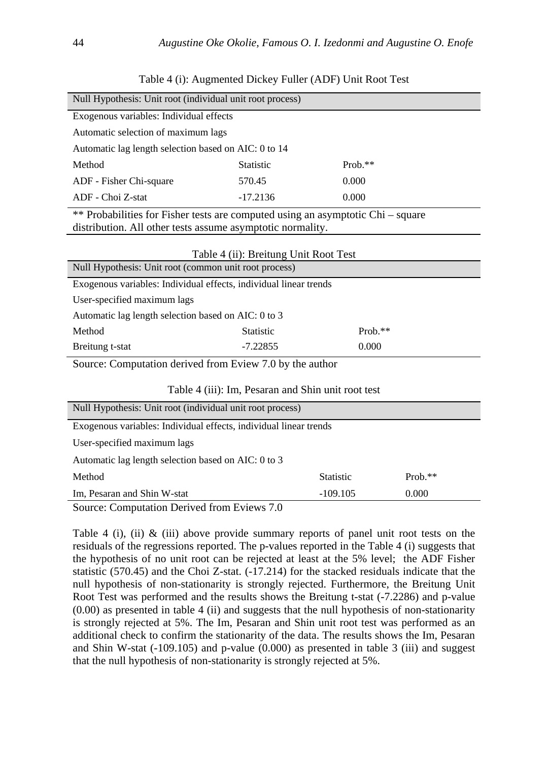| <b>Statistic</b>                                                  | $Prob.**$                                                                                                                                                                                                                                                                                                                                              |  |  |  |  |
|-------------------------------------------------------------------|--------------------------------------------------------------------------------------------------------------------------------------------------------------------------------------------------------------------------------------------------------------------------------------------------------------------------------------------------------|--|--|--|--|
| 570.45                                                            | 0.000                                                                                                                                                                                                                                                                                                                                                  |  |  |  |  |
| $-17.2136$                                                        | 0.000                                                                                                                                                                                                                                                                                                                                                  |  |  |  |  |
|                                                                   |                                                                                                                                                                                                                                                                                                                                                        |  |  |  |  |
|                                                                   |                                                                                                                                                                                                                                                                                                                                                        |  |  |  |  |
|                                                                   |                                                                                                                                                                                                                                                                                                                                                        |  |  |  |  |
|                                                                   |                                                                                                                                                                                                                                                                                                                                                        |  |  |  |  |
| Null Hypothesis: Unit root (common unit root process)             |                                                                                                                                                                                                                                                                                                                                                        |  |  |  |  |
| Exogenous variables: Individual effects, individual linear trends |                                                                                                                                                                                                                                                                                                                                                        |  |  |  |  |
| User-specified maximum lags                                       |                                                                                                                                                                                                                                                                                                                                                        |  |  |  |  |
| Automatic lag length selection based on AIC: 0 to 3               |                                                                                                                                                                                                                                                                                                                                                        |  |  |  |  |
| <b>Statistic</b>                                                  | $Prob.**$                                                                                                                                                                                                                                                                                                                                              |  |  |  |  |
| $-7.22855$<br>0.000<br>Breitung t-stat                            |                                                                                                                                                                                                                                                                                                                                                        |  |  |  |  |
| Source: Computation derived from Eview 7.0 by the author          |                                                                                                                                                                                                                                                                                                                                                        |  |  |  |  |
|                                                                   | Null Hypothesis: Unit root (individual unit root process)<br>Exogenous variables: Individual effects<br>Automatic lag length selection based on AIC: 0 to 14<br>** Probabilities for Fisher tests are computed using an asymptotic Chi – square<br>distribution. All other tests assume asymptotic normality.<br>Table 4 (ii): Breitung Unit Root Test |  |  |  |  |

Table 4 (i): Augmented Dickey Fuller (ADF) Unit Root Test

|  |  |  | Table 4 (iii): Im, Pesaran and Shin unit root test |  |  |
|--|--|--|----------------------------------------------------|--|--|
|--|--|--|----------------------------------------------------|--|--|

| Null Hypothesis: Unit root (individual unit root process) |                                                                   |           |  |  |  |
|-----------------------------------------------------------|-------------------------------------------------------------------|-----------|--|--|--|
|                                                           | Exogenous variables: Individual effects, individual linear trends |           |  |  |  |
| User-specified maximum lags                               |                                                                   |           |  |  |  |
| Automatic lag length selection based on AIC: 0 to 3       |                                                                   |           |  |  |  |
| Method                                                    | <b>Statistic</b>                                                  | $Prob.**$ |  |  |  |
| Im, Pesaran and Shin W-stat<br>$-109.105$<br>0.000        |                                                                   |           |  |  |  |
| Source: Computation Derived from Eviews 7.0               |                                                                   |           |  |  |  |

Table 4 (i), (ii)  $\&$  (iii) above provide summary reports of panel unit root tests on the residuals of the regressions reported. The p-values reported in the Table 4 (i) suggests that the hypothesis of no unit root can be rejected at least at the 5% level; the ADF Fisher statistic (570.45) and the Choi Z-stat. (-17.214) for the stacked residuals indicate that the null hypothesis of non-stationarity is strongly rejected. Furthermore, the Breitung Unit Root Test was performed and the results shows the Breitung t-stat (-7.2286) and p-value (0.00) as presented in table 4 (ii) and suggests that the null hypothesis of non-stationarity is strongly rejected at 5%. The Im, Pesaran and Shin unit root test was performed as an additional check to confirm the stationarity of the data. The results shows the Im, Pesaran and Shin W-stat (-109.105) and p-value (0.000) as presented in table 3 (iii) and suggest that the null hypothesis of non-stationarity is strongly rejected at 5%.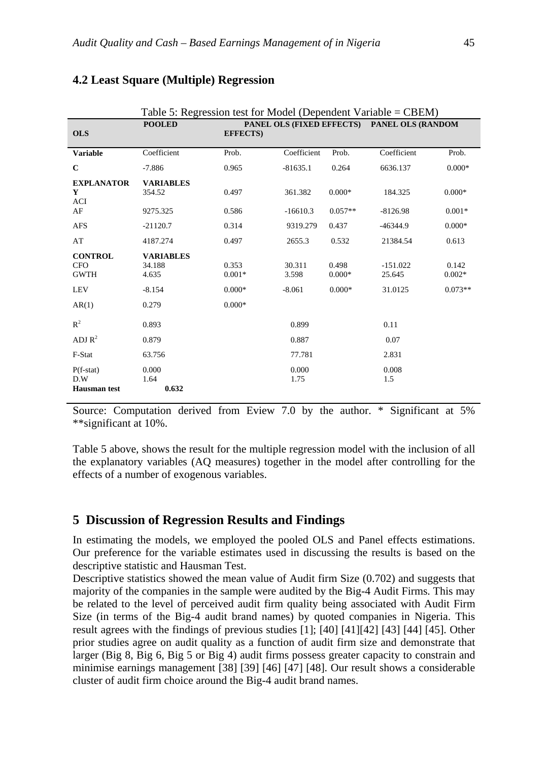|                                             | Table 5: Regression test for Model (Dependent Variable = $CBEM$ ) |                                                                 |                 |                   |                      |                   |  |
|---------------------------------------------|-------------------------------------------------------------------|-----------------------------------------------------------------|-----------------|-------------------|----------------------|-------------------|--|
| <b>OLS</b>                                  | <b>POOLED</b>                                                     | PANEL OLS (FIXED EFFECTS) PANEL OLS (RANDOM<br><b>EFFECTS</b> ) |                 |                   |                      |                   |  |
| <b>Variable</b>                             | Coefficient                                                       | Prob.                                                           | Coefficient     | Prob.             | Coefficient          | Prob.             |  |
| $\mathbf C$                                 | $-7.886$                                                          | 0.965                                                           | $-81635.1$      | 0.264             | 6636.137             | $0.000*$          |  |
| <b>EXPLANATOR</b><br>Y<br><b>ACI</b>        | <b>VARIABLES</b><br>354.52                                        | 0.497                                                           | 361.382         | $0.000*$          | 184.325              | $0.000*$          |  |
| AF                                          | 9275.325                                                          | 0.586                                                           | $-16610.3$      | $0.057**$         | $-8126.98$           | $0.001*$          |  |
| <b>AFS</b>                                  | $-21120.7$                                                        | 0.314                                                           | 9319.279        | 0.437             | $-46344.9$           | $0.000*$          |  |
| AT                                          | 4187.274                                                          | 0.497                                                           | 2655.3          | 0.532             | 21384.54             | 0.613             |  |
| <b>CONTROL</b><br><b>CFO</b><br><b>GWTH</b> | <b>VARIABLES</b><br>34.188<br>4.635                               | 0.353<br>$0.001*$                                               | 30.311<br>3.598 | 0.498<br>$0.000*$ | $-151.022$<br>25.645 | 0.142<br>$0.002*$ |  |
| <b>LEV</b>                                  | $-8.154$                                                          | $0.000*$                                                        | $-8.061$        | $0.000*$          | 31.0125              | $0.073**$         |  |
| AR(1)                                       | 0.279                                                             | $0.000*$                                                        |                 |                   |                      |                   |  |
| $R^2$                                       | 0.893                                                             |                                                                 | 0.899           |                   | 0.11                 |                   |  |
| ADJ $R^2$                                   | 0.879                                                             |                                                                 | 0.887           |                   | 0.07                 |                   |  |
| F-Stat                                      | 63.756                                                            |                                                                 | 77.781          |                   | 2.831                |                   |  |
| $P(f-stat)$<br>D.W<br><b>Hausman</b> test   | 0.000<br>1.64<br>0.632                                            |                                                                 | 0.000<br>1.75   |                   | 0.008<br>1.5         |                   |  |

## **4.2 Least Square (Multiple) Regression**

Source: Computation derived from Eview 7.0 by the author. \* Significant at 5% \*\*significant at 10%.

Table 5 above, shows the result for the multiple regression model with the inclusion of all the explanatory variables (AQ measures) together in the model after controlling for the effects of a number of exogenous variables.

### **5 Discussion of Regression Results and Findings**

In estimating the models, we employed the pooled OLS and Panel effects estimations. Our preference for the variable estimates used in discussing the results is based on the descriptive statistic and Hausman Test.

Descriptive statistics showed the mean value of Audit firm Size (0.702) and suggests that majority of the companies in the sample were audited by the Big-4 Audit Firms. This may be related to the level of perceived audit firm quality being associated with Audit Firm Size (in terms of the Big-4 audit brand names) by quoted companies in Nigeria. This result agrees with the findings of previous studies [1]; [40] [41][42] [43] [44] [45]. Other prior studies agree on audit quality as a function of audit firm size and demonstrate that larger (Big 8, Big 6, Big 5 or Big 4) audit firms possess greater capacity to constrain and minimise earnings management [38] [39] [46] [47] [48]. Our result shows a considerable cluster of audit firm choice around the Big-4 audit brand names.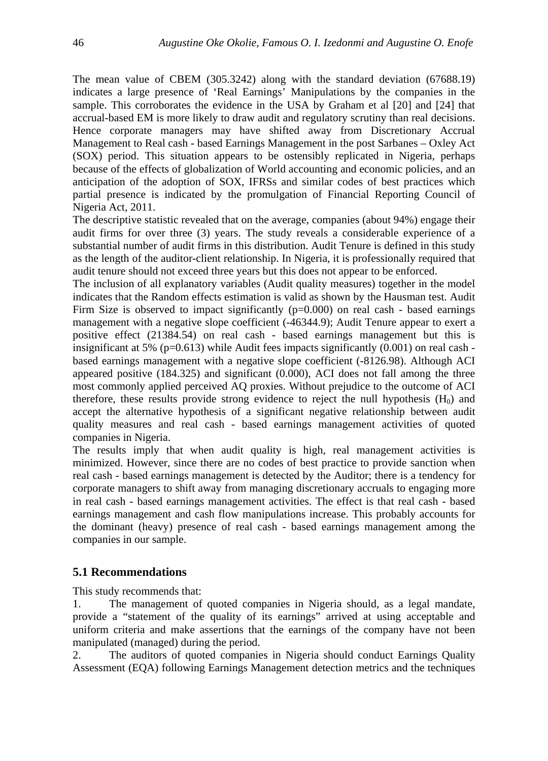The mean value of CBEM (305.3242) along with the standard deviation (67688.19) indicates a large presence of 'Real Earnings' Manipulations by the companies in the sample. This corroborates the evidence in the USA by Graham et al [20] and [24] that accrual-based EM is more likely to draw audit and regulatory scrutiny than real decisions. Hence corporate managers may have shifted away from Discretionary Accrual Management to Real cash - based Earnings Management in the post Sarbanes – Oxley Act (SOX) period. This situation appears to be ostensibly replicated in Nigeria, perhaps because of the effects of globalization of World accounting and economic policies, and an anticipation of the adoption of SOX, IFRSs and similar codes of best practices which partial presence is indicated by the promulgation of Financial Reporting Council of Nigeria Act, 2011.

The descriptive statistic revealed that on the average, companies (about 94%) engage their audit firms for over three (3) years. The study reveals a considerable experience of a substantial number of audit firms in this distribution. Audit Tenure is defined in this study as the length of the auditor-client relationship. In Nigeria, it is professionally required that audit tenure should not exceed three years but this does not appear to be enforced.

The inclusion of all explanatory variables (Audit quality measures) together in the model indicates that the Random effects estimation is valid as shown by the Hausman test. Audit Firm Size is observed to impact significantly  $(p=0.000)$  on real cash - based earnings management with a negative slope coefficient (-46344.9); Audit Tenure appear to exert a positive effect (21384.54) on real cash - based earnings management but this is insignificant at 5% ( $p=0.613$ ) while Audit fees impacts significantly (0.001) on real cash based earnings management with a negative slope coefficient (-8126.98). Although ACI appeared positive (184.325) and significant (0.000), ACI does not fall among the three most commonly applied perceived AQ proxies. Without prejudice to the outcome of ACI therefore, these results provide strong evidence to reject the null hypothesis  $(H_0)$  and accept the alternative hypothesis of a significant negative relationship between audit quality measures and real cash - based earnings management activities of quoted companies in Nigeria.

The results imply that when audit quality is high, real management activities is minimized. However, since there are no codes of best practice to provide sanction when real cash - based earnings management is detected by the Auditor; there is a tendency for corporate managers to shift away from managing discretionary accruals to engaging more in real cash - based earnings management activities. The effect is that real cash - based earnings management and cash flow manipulations increase. This probably accounts for the dominant (heavy) presence of real cash - based earnings management among the companies in our sample.

## **5.1 Recommendations**

This study recommends that:

1. The management of quoted companies in Nigeria should, as a legal mandate, provide a "statement of the quality of its earnings" arrived at using acceptable and uniform criteria and make assertions that the earnings of the company have not been manipulated (managed) during the period.

2. The auditors of quoted companies in Nigeria should conduct Earnings Quality Assessment (EQA) following Earnings Management detection metrics and the techniques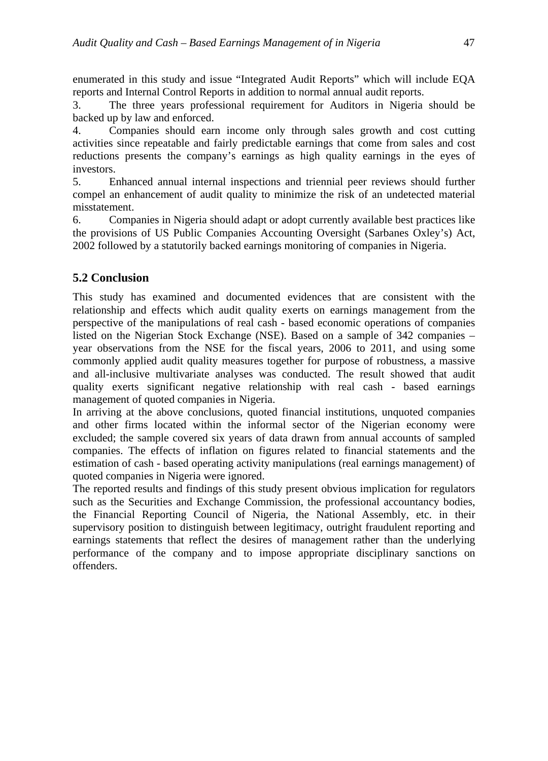enumerated in this study and issue "Integrated Audit Reports" which will include EQA reports and Internal Control Reports in addition to normal annual audit reports.

3. The three years professional requirement for Auditors in Nigeria should be backed up by law and enforced.

4. Companies should earn income only through sales growth and cost cutting activities since repeatable and fairly predictable earnings that come from sales and cost reductions presents the company's earnings as high quality earnings in the eyes of investors.

5. Enhanced annual internal inspections and triennial peer reviews should further compel an enhancement of audit quality to minimize the risk of an undetected material misstatement.

6. Companies in Nigeria should adapt or adopt currently available best practices like the provisions of US Public Companies Accounting Oversight (Sarbanes Oxley's) Act, 2002 followed by a statutorily backed earnings monitoring of companies in Nigeria.

# **5.2 Conclusion**

This study has examined and documented evidences that are consistent with the relationship and effects which audit quality exerts on earnings management from the perspective of the manipulations of real cash - based economic operations of companies listed on the Nigerian Stock Exchange (NSE). Based on a sample of 342 companies – year observations from the NSE for the fiscal years, 2006 to 2011, and using some commonly applied audit quality measures together for purpose of robustness, a massive and all-inclusive multivariate analyses was conducted. The result showed that audit quality exerts significant negative relationship with real cash - based earnings management of quoted companies in Nigeria.

In arriving at the above conclusions, quoted financial institutions, unquoted companies and other firms located within the informal sector of the Nigerian economy were excluded; the sample covered six years of data drawn from annual accounts of sampled companies. The effects of inflation on figures related to financial statements and the estimation of cash - based operating activity manipulations (real earnings management) of quoted companies in Nigeria were ignored.

The reported results and findings of this study present obvious implication for regulators such as the Securities and Exchange Commission, the professional accountancy bodies, the Financial Reporting Council of Nigeria, the National Assembly, etc. in their supervisory position to distinguish between legitimacy, outright fraudulent reporting and earnings statements that reflect the desires of management rather than the underlying performance of the company and to impose appropriate disciplinary sanctions on offenders.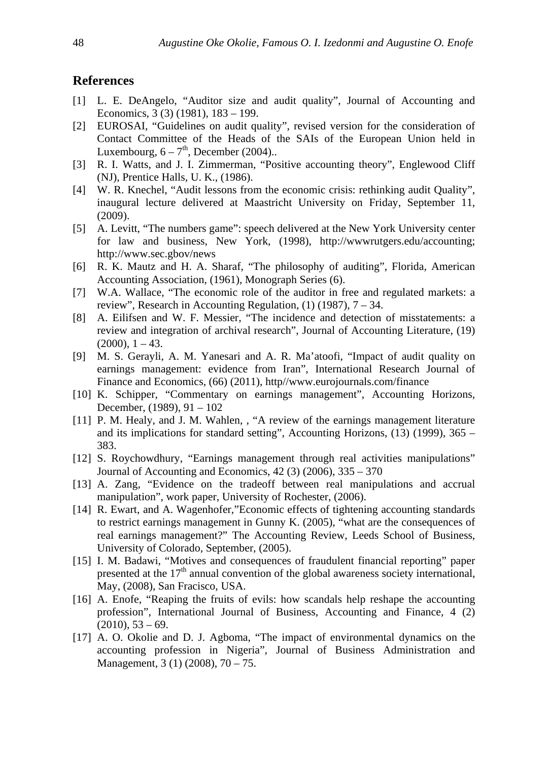## **References**

- [1] L. E. DeAngelo, "Auditor size and audit quality", Journal of Accounting and Economics, 3 (3) (1981), 183 – 199.
- [2] EUROSAI, "Guidelines on audit quality", revised version for the consideration of Contact Committee of the Heads of the SAIs of the European Union held in Luxembourg,  $6 - 7<sup>th</sup>$ , December (2004)...
- [3] R. I. Watts, and J. I. Zimmerman, "Positive accounting theory", Englewood Cliff (NJ), Prentice Halls, U. K., (1986).
- [4] W. R. Knechel, "Audit lessons from the economic crisis: rethinking audit Quality", inaugural lecture delivered at Maastricht University on Friday, September 11, (2009).
- [5] A. Levitt, "The numbers game": speech delivered at the New York University center for law and business, New York, (1998), http://wwwrutgers.edu/accounting; http://www.sec.gbov/news
- [6] R. K. Mautz and H. A. Sharaf, "The philosophy of auditing", Florida, American Accounting Association, (1961), Monograph Series (6).
- [7] W.A. Wallace, "The economic role of the auditor in free and regulated markets: a review", Research in Accounting Regulation, (1) (1987), 7 – 34.
- [8] A. Eilifsen and W. F. Messier, "The incidence and detection of misstatements: a review and integration of archival research", Journal of Accounting Literature, (19)  $(2000), 1 - 43.$
- [9] M. S. Gerayli, A. M. Yanesari and A. R. Ma'atoofi, "Impact of audit quality on earnings management: evidence from Iran", International Research Journal of Finance and Economics, (66) (2011), http//www.eurojournals.com/finance
- [10] K. Schipper, "Commentary on earnings management", Accounting Horizons, December, (1989), 91 – 102
- [11] P. M. Healy, and J. M. Wahlen, , "A review of the earnings management literature and its implications for standard setting", Accounting Horizons, (13) (1999), 365 – 383.
- [12] S. Roychowdhury, "Earnings management through real activities manipulations" Journal of Accounting and Economics, 42 (3) (2006), 335 – 370
- [13] A. Zang, "Evidence on the tradeoff between real manipulations and accrual manipulation", work paper, University of Rochester, (2006).
- [14] R. Ewart, and A. Wagenhofer,"Economic effects of tightening accounting standards to restrict earnings management in Gunny K. (2005), "what are the consequences of real earnings management?" The Accounting Review, Leeds School of Business, University of Colorado, September, (2005).
- [15] I. M. Badawi, "Motives and consequences of fraudulent financial reporting" paper presented at the 17<sup>th</sup> annual convention of the global awareness society international, May, (2008), San Fracisco, USA.
- [16] A. Enofe, "Reaping the fruits of evils: how scandals help reshape the accounting profession", International Journal of Business, Accounting and Finance, 4 (2)  $(2010)$ , 53 – 69.
- [17] A. O. Okolie and D. J. Agboma, "The impact of environmental dynamics on the accounting profession in Nigeria", Journal of Business Administration and Management, 3 (1) (2008), 70 – 75.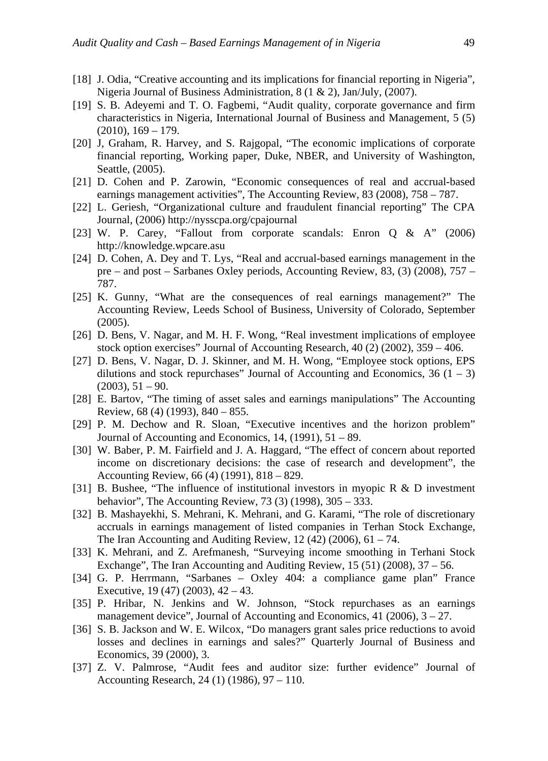- [18] J. Odia, "Creative accounting and its implications for financial reporting in Nigeria", Nigeria Journal of Business Administration, 8 (1 & 2), Jan/July, (2007).
- [19] S. B. Adeyemi and T. O. Fagbemi, "Audit quality, corporate governance and firm characteristics in Nigeria, International Journal of Business and Management, 5 (5)  $(2010), 169 - 179.$
- [20] J, Graham, R. Harvey, and S. Rajgopal, "The economic implications of corporate financial reporting, Working paper, Duke, NBER, and University of Washington, Seattle, (2005).
- [21] D. Cohen and P. Zarowin, "Economic consequences of real and accrual-based earnings management activities", The Accounting Review, 83 (2008), 758 – 787.
- [22] L. Geriesh, "Organizational culture and fraudulent financial reporting" The CPA Journal, (2006) http://nysscpa.org/cpajournal
- [23] W. P. Carey, "Fallout from corporate scandals: Enron Q & A" (2006) http://knowledge.wpcare.asu
- [24] D. Cohen, A. Dey and T. Lys, "Real and accrual-based earnings management in the pre – and post – Sarbanes Oxley periods, Accounting Review, 83, (3) (2008), 757 – 787.
- [25] K. Gunny, "What are the consequences of real earnings management?" The Accounting Review, Leeds School of Business, University of Colorado, September (2005).
- [26] D. Bens, V. Nagar, and M. H. F. Wong, "Real investment implications of employee stock option exercises" Journal of Accounting Research, 40 (2) (2002), 359 – 406.
- [27] D. Bens, V. Nagar, D. J. Skinner, and M. H. Wong, "Employee stock options, EPS dilutions and stock repurchases" Journal of Accounting and Economics,  $36(1 – 3)$  $(2003), 51 - 90.$
- [28] E. Bartov, "The timing of asset sales and earnings manipulations" The Accounting Review, 68 (4) (1993), 840 – 855.
- [29] P. M. Dechow and R. Sloan, "Executive incentives and the horizon problem" Journal of Accounting and Economics, 14, (1991), 51 – 89.
- [30] W. Baber, P. M. Fairfield and J. A. Haggard, "The effect of concern about reported income on discretionary decisions: the case of research and development", the Accounting Review, 66 (4) (1991), 818 – 829.
- [31] B. Bushee, "The influence of institutional investors in myopic R & D investment behavior", The Accounting Review, 73 (3) (1998), 305 – 333.
- [32] B. Mashayekhi, S. Mehrani, K. Mehrani, and G. Karami, "The role of discretionary accruals in earnings management of listed companies in Terhan Stock Exchange, The Iran Accounting and Auditing Review,  $12(42)(2006)$ ,  $61 - 74$ .
- [33] K. Mehrani, and Z. Arefmanesh, "Surveying income smoothing in Terhani Stock Exchange", The Iran Accounting and Auditing Review, 15 (51) (2008), 37 – 56.
- [34] G. P. Herrmann, "Sarbanes Oxley 404: a compliance game plan" France Executive, 19 (47) (2003), 42 – 43.
- [35] P. Hribar, N. Jenkins and W. Johnson, "Stock repurchases as an earnings management device", Journal of Accounting and Economics, 41 (2006), 3 – 27.
- [36] S. B. Jackson and W. E. Wilcox, "Do managers grant sales price reductions to avoid losses and declines in earnings and sales?" Quarterly Journal of Business and Economics, 39 (2000), 3.
- [37] Z. V. Palmrose, "Audit fees and auditor size: further evidence" Journal of Accounting Research, 24 (1) (1986), 97 – 110.